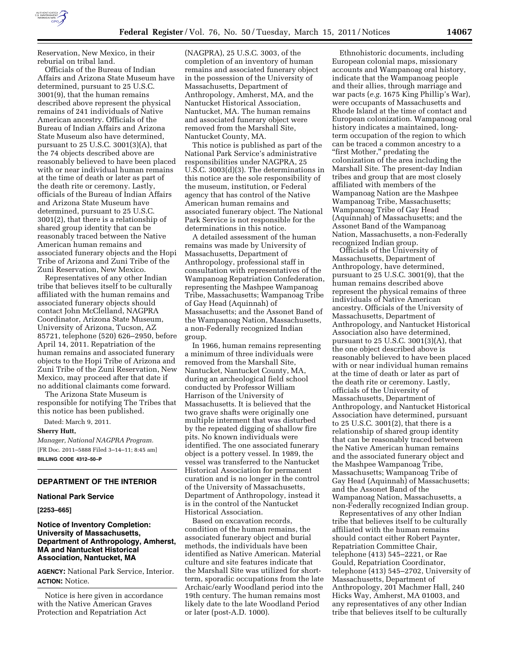

Reservation, New Mexico, in their reburial on tribal land.

Officials of the Bureau of Indian Affairs and Arizona State Museum have determined, pursuant to 25 U.S.C. 3001(9), that the human remains described above represent the physical remains of 241 individuals of Native American ancestry. Officials of the Bureau of Indian Affairs and Arizona State Museum also have determined, pursuant to 25 U.S.C. 3001(3)(A), that the 74 objects described above are reasonably believed to have been placed with or near individual human remains at the time of death or later as part of the death rite or ceremony. Lastly, officials of the Bureau of Indian Affairs and Arizona State Museum have determined, pursuant to 25 U.S.C. 3001(2), that there is a relationship of shared group identity that can be reasonably traced between the Native American human remains and associated funerary objects and the Hopi Tribe of Arizona and Zuni Tribe of the Zuni Reservation, New Mexico.

Representatives of any other Indian tribe that believes itself to be culturally affiliated with the human remains and associated funerary objects should contact John McClelland, NAGPRA Coordinator, Arizona State Museum, University of Arizona, Tucson, AZ 85721, telephone (520) 626–2950, before April 14, 2011. Repatriation of the human remains and associated funerary objects to the Hopi Tribe of Arizona and Zuni Tribe of the Zuni Reservation, New Mexico, may proceed after that date if no additional claimants come forward.

The Arizona State Museum is responsible for notifying The Tribes that this notice has been published.

Dated: March 9, 2011.

**Sherry Hutt,** 

*Manager, National NAGPRA Program.*  [FR Doc. 2011–5888 Filed 3–14–11; 8:45 am] **BILLING CODE 4312–50–P** 

### **DEPARTMENT OF THE INTERIOR**

### **National Park Service**

**[2253–665]** 

## **Notice of Inventory Completion: University of Massachusetts, Department of Anthropology, Amherst, MA and Nantucket Historical Association, Nantucket, MA**

**AGENCY:** National Park Service, Interior. **ACTION:** Notice.

Notice is here given in accordance with the Native American Graves Protection and Repatriation Act

(NAGPRA), 25 U.S.C. 3003, of the completion of an inventory of human remains and associated funerary object in the possession of the University of Massachusetts, Department of Anthropology, Amherst, MA, and the Nantucket Historical Association, Nantucket, MA. The human remains and associated funerary object were removed from the Marshall Site, Nantucket County, MA.

This notice is published as part of the National Park Service's administrative responsibilities under NAGPRA, 25 U.S.C. 3003(d)(3). The determinations in this notice are the sole responsibility of the museum, institution, or Federal agency that has control of the Native American human remains and associated funerary object. The National Park Service is not responsible for the determinations in this notice.

A detailed assessment of the human remains was made by University of Massachusetts, Department of Anthropology, professional staff in consultation with representatives of the Wampanoag Repatriation Confederation, representing the Mashpee Wampanoag Tribe, Massachusetts; Wampanoag Tribe of Gay Head (Aquinnah) of Massachusetts; and the Assonet Band of the Wampanoag Nation, Massachusetts, a non-Federally recognized Indian group.

In 1966, human remains representing a minimum of three individuals were removed from the Marshall Site, Nantucket, Nantucket County, MA, during an archeological field school conducted by Professor William Harrison of the University of Massachusetts. It is believed that the two grave shafts were originally one multiple interment that was disturbed by the repeated digging of shallow fire pits. No known individuals were identified. The one associated funerary object is a pottery vessel. In 1989, the vessel was transferred to the Nantucket Historical Association for permanent curation and is no longer in the control of the University of Massachusetts, Department of Anthropology, instead it is in the control of the Nantucket Historical Association.

Based on excavation records, condition of the human remains, the associated funerary object and burial methods, the individuals have been identified as Native American. Material culture and site features indicate that the Marshall Site was utilized for shortterm, sporadic occupations from the late Archaic/early Woodland period into the 19th century. The human remains most likely date to the late Woodland Period or later (post-A.D. 1000).

Ethnohistoric documents, including European colonial maps, missionary accounts and Wampanoag oral history, indicate that the Wampanoag people and their allies, through marriage and war pacts (*e.g.* 1675 King Phillip's War), were occupants of Massachusetts and Rhode Island at the time of contact and European colonization. Wampanoag oral history indicates a maintained, longterm occupation of the region to which can be traced a common ancestry to a "first Mother," predating the colonization of the area including the Marshall Site. The present-day Indian tribes and group that are most closely affiliated with members of the Wampanoag Nation are the Mashpee Wampanoag Tribe, Massachusetts; Wampanoag Tribe of Gay Head (Aquinnah) of Massachusetts; and the Assonet Band of the Wampanoag Nation, Massachusetts, a non-Federally recognized Indian group.

Officials of the University of Massachusetts, Department of Anthropology, have determined, pursuant to 25 U.S.C. 3001(9), that the human remains described above represent the physical remains of three individuals of Native American ancestry. Officials of the University of Massachusetts, Department of Anthropology, and Nantucket Historical Association also have determined, pursuant to 25 U.S.C. 3001(3)(A), that the one object described above is reasonably believed to have been placed with or near individual human remains at the time of death or later as part of the death rite or ceremony. Lastly, officials of the University of Massachusetts, Department of Anthropology, and Nantucket Historical Association have determined, pursuant to 25 U.S.C. 3001(2), that there is a relationship of shared group identity that can be reasonably traced between the Native American human remains and the associated funerary object and the Mashpee Wampanoag Tribe, Massachusetts; Wampanoag Tribe of Gay Head (Aquinnah) of Massachusetts; and the Assonet Band of the Wampanoag Nation, Massachusetts, a non-Federally recognized Indian group.

Representatives of any other Indian tribe that believes itself to be culturally affiliated with the human remains should contact either Robert Paynter, Repatriation Committee Chair, telephone (413) 545–2221, or Rae Gould, Repatriation Coordinator, telephone (413) 545–2702, University of Massachusetts, Department of Anthropology, 201 Machmer Hall, 240 Hicks Way, Amherst, MA 01003, and any representatives of any other Indian tribe that believes itself to be culturally